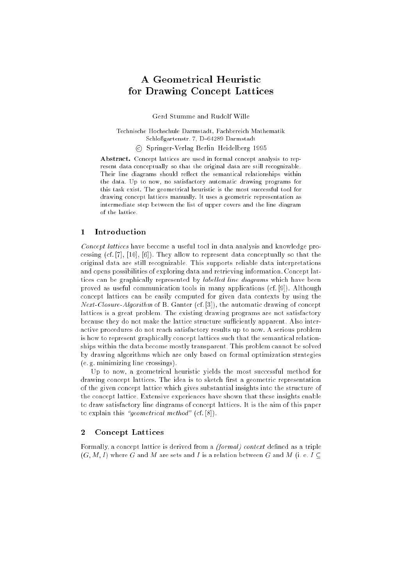# A Geometrical Heuristic for Drawing Concept Lattices

Gerd Stumme and Rudolf Wille

Technische Hochschule Darmstadt, Fachbereich Mathematik Schloßgartenstr. 7, D-64289 Darmstadt <sup>c</sup> Springer-Verlag Berlin{Heidelberg 1995

Abstract. Concept lattices are used in formal concept analysis to represent data conceptually so that the original data are still recognizable. Their line diagrams should reflect the semantical relationships within the data. Up to now, no satisfactory automatic drawing programs for this task exist. The geometrical heuristic is the most successful tool for drawing concept lattices manually. It uses a geometric representation as intermediate step between the list of upper covers and the line diagram of the lattice

## 1 Introduction

Concept lattices have become a useful tool in data analysis and knowledge processing (cf. [7], [10], [6]). They allow to represent data conceptually so that the original data are still recognizable. This supports reliable data interpretations and opens possibilities of exploring data and retrieving information. Concept lattices can be graphically represented by *labelled line diagrams* which have been proved as useful communication tools in many applications (cf. [9]). Although concept lattices can be easily computed for given data contexts by using the Next-Closure-Algorithm of B. Ganter (cf. [3]), the automatic drawing of concept lattices is a great problem. The existing drawing programs are not satisfactory because they do not make the lattice structure sufficiently apparent. Also interactive procedures do not reach satisfactory results up to now. A serious problem is how to represent graphically concept lattices such that the semantical relationships within the data become mostly transparent. This problem cannot be solved by drawing algorithms which are only based on formal optimization strategies (e. g. minimizing line crossings).

Up to now, a geometrical heuristic yields the most successful method for drawing concept lattices. The idea is to sketch first a geometric representation of the given concept lattice which gives substantial insights into the structure of the concept lattice. Extensive experiences have shown that these insights enable to draw satisfactory line diagrams of concept lattices. It is the aim of this paper to explain this "*geometrical method*" (cf.  $[8]$ ).

### $\overline{2}$ **Concept Lattices**

Formally, a concept lattice is derived from a *(formal) context* defined as a triple  $(G, M, I)$  where G and M are sets and I is a relation between G and M (i. e. I  $\subseteq$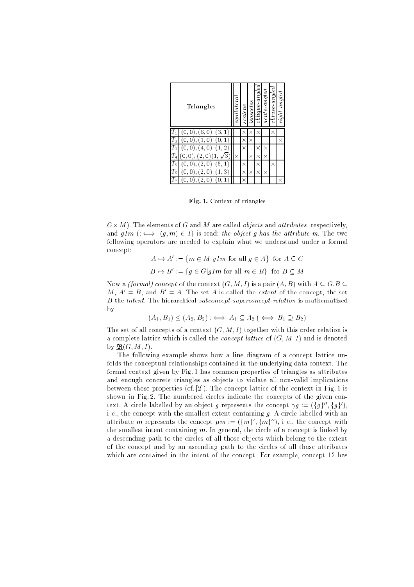| Triangles      |         | equilatera | scalene  | <i>sosceles</i> | $\it oblique\text{-}angle$ | $\emph{acute-}$ angled | obtuse-angled | right angled |
|----------------|---------|------------|----------|-----------------|----------------------------|------------------------|---------------|--------------|
|                | 3<br>6. |            | ×        | ×               | ×                          |                        | ×             |              |
| $\overline{2}$ |         |            | $\times$ | ×               |                            |                        |               | $\times$     |
| 3              | 2<br>4  |            | ×        |                 | ×                          | ×                      |               |              |
|                | 2<br>З  | $\times$   |          | ×               | $\times$                   | ×                      |               |              |
| 5              | 5       |            | ×        |                 | $\times$                   |                        | $\times$      |              |
| 16             | 3<br>0  |            | ×        | $\times$        | $\times$                   | $\times$               |               |              |
|                |         |            | ×        |                 |                            |                        |               | ×            |

Fig. 1. Context of triangles

G-M). The elements of G and M are called objects and attributes , respectively, and  $gIm\ (\implies(g,m)\in I)$  is read: the object g has the attribute m. The two following operators are needed to explain what we understand under a formal concept:

> $A \mapsto A := \{m \in M | q \mid m$  for all  $q \in A\}$  for  $A \subseteq G$  $B \mapsto B := \{q \in G | q \mid m \text{ for all } m \in B\}$  for  $B \subseteq M$

Now a *(formal) concept* of the context  $(G, M, I)$  is a pair  $(A, B)$  with  $A \subseteq G, B \subseteq I$ M,  $A' = B$ , and  $B' = A$ . The set A is called the *extent* of the concept, the set B the intent. The hierarchical subconcept-superconcept-relation is mathematized by

$$
(A_1, B_1) \le (A_2, B_2) \iff A_1 \subseteq A_2 \iff B_1 \supseteq B_2)
$$

The set of all concepts of a context  $(G, M, I)$  together with this order relation is a complete lattice which is called the *concept lattice* of  $(G, M, I)$  and is denoted by  $\mathfrak{B}(G, M, I)$ .

The following example shows how a line diagram of a concept lattice unfolds the conceptual relationships contained in the underlying data context. The formal context given by Fig. 1 has common properties of triangles as attributes and enough concrete triangles as objects to violate all non-valid implications between those properties (cf. [2]). The concept lattice of the context in Fig. 1 is shown in Fig. 2. The numbered circles indicate the concepts of the given context. A circle labelled by an object q represents the concept  $\gamma q := (\{q\}, \{q\})$ , i.e., the concept with the smallest extent containing  $g$ . A circle labelled with an attribute  $m$  represents the concept  $\mu m:=\tau(m)=\tau m_{\ell-1}$  i.e., the concept with the smallest intent containing  $m$ . In general, the circle of a concept is linked by a descending path to the circles of all those objects which belong to the extent of the concept and by an ascending path to the circles of all those attributes which are contained in the intent of the concept. For example, concept 12 has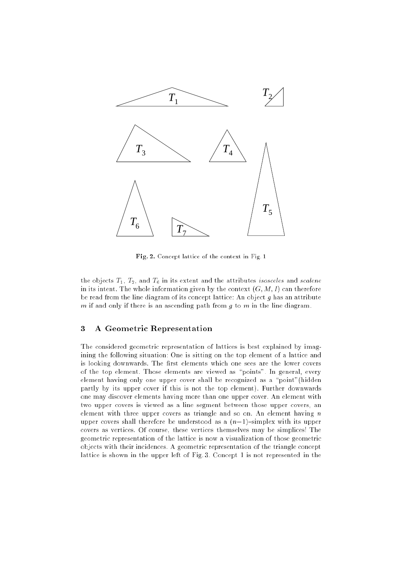

Fig. 2. Concept lattice of the context in Fig. 1

the objects  $T_1$ ,  $T_2$ , and  $T_6$  in its extent and the attributes *isosceles* and *scalene* in its intent. The whole information given by the context  $(G, M, I)$  can therefore be read from the line diagram of its concept lattice: An object  $g$  has an attribute m if and only if there is an ascending path from  $g$  to  $m$  in the line diagram.

### 3 A Geometric Representation

The considered geometric representation of lattices is best explained by imagining the following situation: One is sitting on the top element of a lattice and is looking downwards. The first elements which one sees are the lower covers of the top element. Those elements are viewed as "points". In general, every element having only one upper cover shall be recognized as a "point" (hidden partly by its upper cover if this is not the top element). Further downwards one may discover elements having more than one upper cover. An element with two upper covers is viewed as a line segment between those upper covers, an element with three upper covers as triangle and so on. An element having  $n$ upper covers shall therefore be understood as a  $(n-1)$ -simplex with its upper covers as vertices. Of course, these vertices themselves may be simplices! The geometric representation of the lattice is now a visualization of those geometric objects with their incidences. A geometric representation of the triangle concept lattice is shown in the upper left of Fig. 3. Concept 1 is not represented in the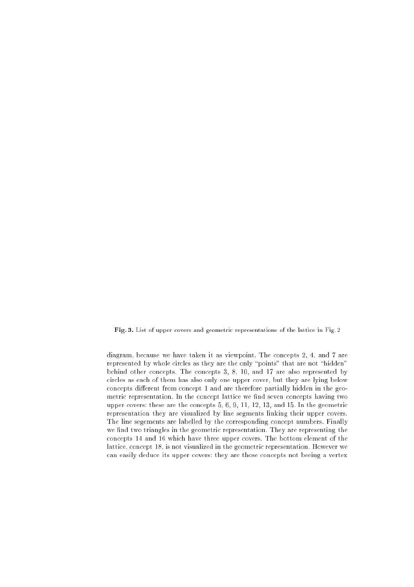Fig. 3. List of upper covers and geometric representations of the lattice in Fig. 2

diagram, because we have taken it as viewpoint. The concepts 2, 4, and 7 are represented by whole circles as they are the only "points" that are not "hidden" behind other concepts. The concepts 3, 8, 10, and 17 are also represented by circles as each of them has also only one upper cover, but they are lying below concepts different from concept 1 and are therefore partially hidden in the geometric representation. In the concept lattice we find seven concepts having two upper covers: these are the concepts 5, 6, 9, 11, 12, 13, and 15. In the geometric representation they are visualized by line segments linking their upper covers. The line segements are labelled by the corresponding concept numbers. Finally we find two triangles in the geometric representation. They are representing the concepts 14 and 16 which have three upper covers. The bottom element of the lattice, concept 18, is not visualized in the geometric representation. However we can easily deduce its upper covers: they are those concepts not beeing a vertex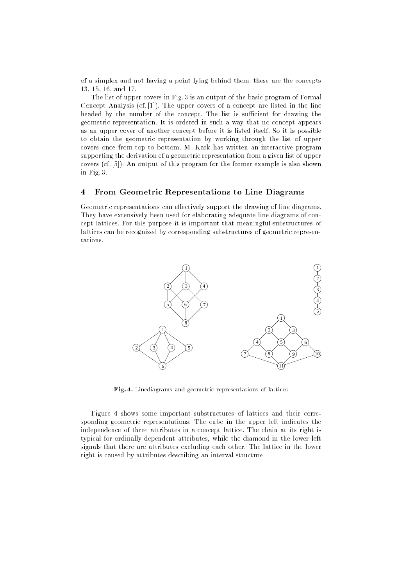of a simplex and not having a point lying behind them: these are the concepts 13, 15, 16, and 17.

The list of upper covers in Fig. 3 is an output of the basic program of Formal Concept Analysis (cf. [1]). The upper covers of a concept are listed in the line headed by the number of the concept. The list is sufficient for drawing the geometric representation. It is ordered in such a way that no concept appears as an upper cover of another concept before it is listed itself. So it is possible to obtain the geometric representation by working through the list of upper covers once from top to bottom. M. Kark has written an interactive program supporting the derivation of a geometric representation from a given list of upper covers (cf. [5]). An output of this program for the former example is also shown in Fig. 3.

#### 4 From Geometric Representations to Line Diagrams  $\overline{\bf{4}}$

Geometric representations can effectively support the drawing of line diagrams. They have extensively been used for elaborating adequate line diagrams of concept lattices. For this purpose it is important that meaningful substructures of lattices can be recognized by corresponding substructures of geometric representations.



Fig. 4. Linediagrams and geometric representations of lattices

Figure 4 shows some important substructures of lattices and their corresponding geometric representations: The cube in the upper left indicates the independence of three attributes in a concept lattice. The chain at its right is typical for ordinally dependent attributes, while the diamond in the lower left signals that there are attributes excluding each other. The lattice in the lower right is caused by attributes describing an interval structure.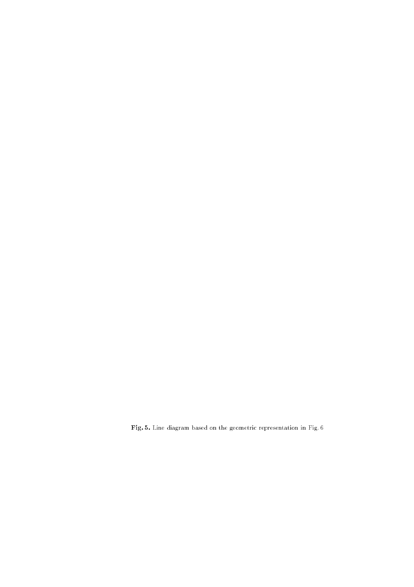Fig. 5. Line diagram based on the geometric representation in Fig. 6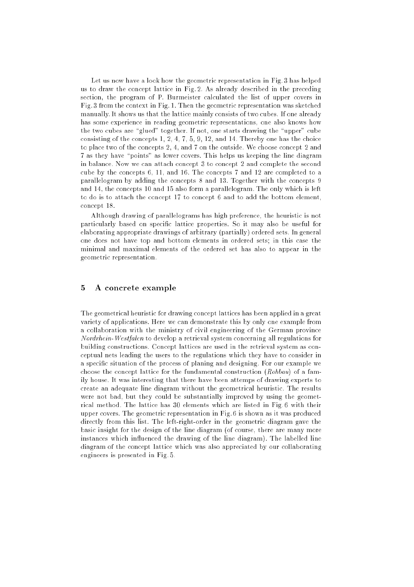Let us now have a look how the geometric representation in Fig. 3 has helped us to draw the concept lattice in Fig. 2. As already described in the preceding section, the program of P. Burmeister calculated the list of upper covers in Fig. 3 from the context in Fig. 1. Then the geometric representation was sketched manually. It shows us that the lattice mainly consists of two cubes. If one already has some experience in reading geometric representations, one also knows how the two cubes are "glued" together. If not, one starts drawing the "upper" cube consisting of the concepts 1, 2, 4, 7, 5, 9, 12, and 14. Thereby one has the choice to place two of the concepts 2, 4, and 7 on the outside. We choose concept 2 and 7 as they have "points" as lower covers. This helps us keeping the line diagram in balance. Now we can attach concept 3 to concept 2 and complete the second cube by the concepts 6, 11, and 16. The concepts 7 and 12 are completed to a parallelogram by adding the concepts 8 and 13. Together with the concepts 9 and 14, the concepts 10 and 15 also form a parallelogram. The only which is left to do is to attach the concept 17 to concept 6 and to add the bottom element, concept 18.

Although drawing of parallelograms has high preference, the heuristic is not particularly based on specic lattice properties. So it may also be useful for elaborating appropriate drawings of arbitrary (partially) ordered sets. In general one does not have top and bottom elements in ordered sets; in this case the minimal and maximal elements of the ordered set has also to appear in the geometric representation.

#### $\mathbf{5}$ 5 A concrete example

The geometrical heuristic for drawing concept lattices has been applied in a great variety of applications. Here we can demonstrate this by only one example from a collaboration with the ministry of civil engineering of the German province Nordrhein-Westfalen to develop a retrieval system concerning all regulations for building constructions. Concept lattices are used in the retrieval system as conceptual nets leading the users to the regulations which they have to consider in a specic situation of the process of planing and designing. For our example we choose the concept lattice for the fundamental construction (Rohbau) of a family house. It was interesting that there have been attemps of drawing experts to create an adequate line diagram without the geometrical heuristic. The results were not bad, but they could be substantially improved by using the geometrical method. The lattice has 30 elements which are listed in Fig. 6 with their upper covers. The geometric representation in Fig. 6 is shown as it was produced directly from this list. The left-right-order in the geometric diagram gave the basic insight for the design of the line diagram (of course, there are many more instances which influenced the drawing of the line diagram). The labelled line diagram of the concept lattice which was also appreciated by our collaborating engineers is presented in Fig. 5.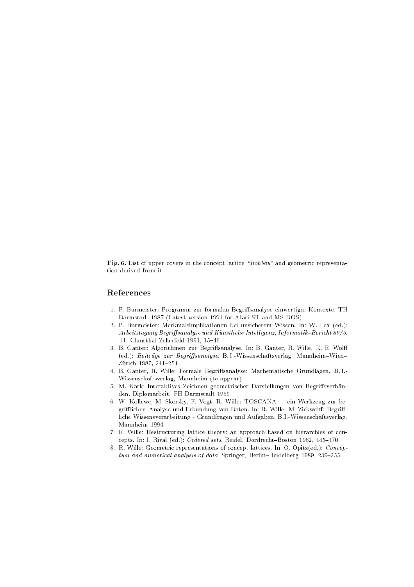Fig. 6. List of upper covers in the concept lattice "Rohbau" and geometric representation derived from it

### References

- 1. P. Burmeister: Programm zur formalen Begriffsanalyse einwertiger Kontexte. TH Darmstadt 1987 (Latest version 1991 for Atari ST and MS DOS)
- 2. P. Burmeister: Merkmalsimplikationen bei unsicherem Wissen. In: W. Lex (ed.): Arbeitstagung Begriffsanalyse und Künstliche Intelligenz, Informatik-Bericht 89/3. TU Clausthal-Zellerfeld 1991, 15-46
- 3. B. Ganter: Algorithmen zur Begriffsanalyse. In: B. Ganter, R. Wille, K. E. Wolff (ed.): Beiträge zur Begriffsanalyse. B. I.-Wissenschaftsverlag, Mannheim-Wien-Zürich 1987, 241-254
- 4. B. Ganter, R. Wille: Formale Begrisanalyse: Mathematische Grundlagen. B. I.- Wissenschaftsverlag, Mannheim (to appear)
- 5. M. Kark: Interaktives Zeichnen geometrischer Darstellungen von Begriffsverbänden. Diplomarbeit, FH Darmstadt 1989
- 6. W. Kollewe, M. Skorsky, F. Vogt, R. Wille: TOSCANA ein Werkzeug zur begrifflichen Analyse und Erkundung von Daten. In: R. Wille, M. Zickwolff: Begriffliche Wissensverarbeitung - Grundfragen und Aufgaben. B.I.-Wissenschaftsverlag, Mannheim 1994.
- 7. R. Wille: Restructuring lattice theory: an approach based on hierarchies of concepts. In: I. Rival (ed.): Ordered sets. Reidel, Dordrecht-Boston 1982, 445-470
- 8. R. Wille: Geometric representations of concept lattices. In: O. Opitz(ed.): Conceptual and numerical analysis of data. Springer, Berlin-Heidelberg 1989, 239-255